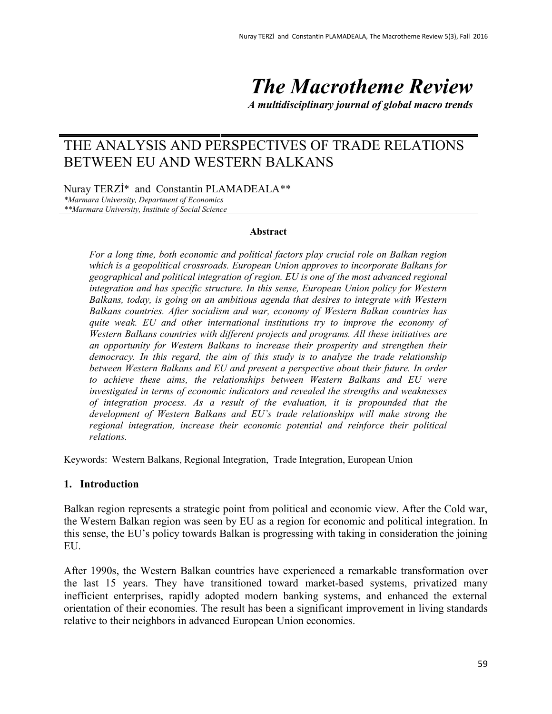*The Macrotheme Review*

*A multidisciplinary journal of global macro trends*

# THE ANALYSIS AND PERSPECTIVES OF TRADE RELATIONS BETWEEN EU AND WESTERN BALKANS

Nuray TERZİ\* and Constantin PLAMADEALA\*\* *\*Marmara University, Department of Economics \*\*Marmara University, Institute of Social Science*

#### **Abstract**

*For a long time, both economic and political factors play crucial role on Balkan region which is a geopolitical crossroads. European Union approves to incorporate Balkans for geographical and political integration of region. EU is one of the most advanced regional integration and has specific structure. In this sense, European Union policy for Western Balkans, today, is going on an ambitious agenda that desires to integrate with Western Balkans countries. After socialism and war, economy of Western Balkan countries has quite weak. EU and other international institutions try to improve the economy of Western Balkans countries with different projects and programs. All these initiatives are an opportunity for Western Balkans to increase their prosperity and strengthen their democracy. In this regard, the aim of this study is to analyze the trade relationship between Western Balkans and EU and present a perspective about their future. In order to achieve these aims, the relationships between Western Balkans and EU were investigated in terms of economic indicators and revealed the strengths and weaknesses of integration process. As a result of the evaluation, it is propounded that the development of Western Balkans and EU's trade relationships will make strong the regional integration, increase their economic potential and reinforce their political relations.*

Keywords: Western Balkans, Regional Integration, Trade Integration, European Union

#### **1. Introduction**

Balkan region represents a strategic point from political and economic view. After the Cold war, the Western Balkan region was seen by EU as a region for economic and political integration. In this sense, the EU's policy towards Balkan is progressing with taking in consideration the joining EU.

After 1990s, the Western Balkan countries have experienced a remarkable transformation over the last 15 years. They have transitioned toward market-based systems, privatized many inefficient enterprises, rapidly adopted modern banking systems, and enhanced the external orientation of their economies. The result has been a significant improvement in living standards relative to their neighbors in advanced European Union economies.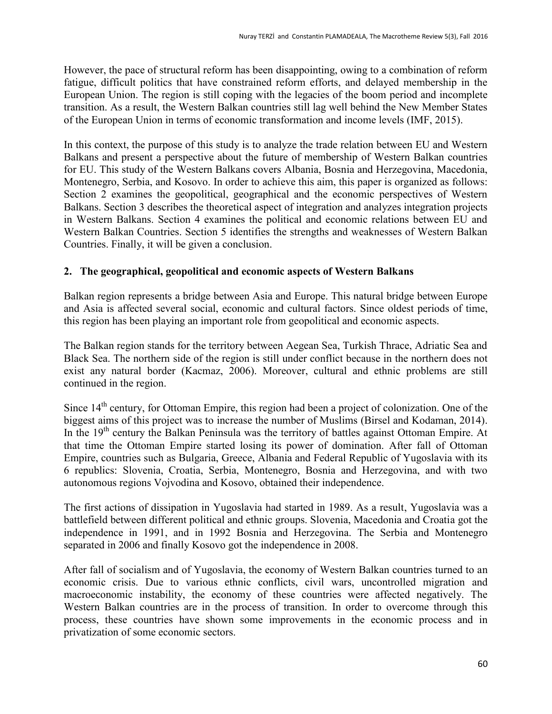However, the pace of structural reform has been disappointing, owing to a combination of reform fatigue, difficult politics that have constrained reform efforts, and delayed membership in the European Union. The region is still coping with the legacies of the boom period and incomplete transition. As a result, the Western Balkan countries still lag well behind the New Member States of the European Union in terms of economic transformation and income levels (IMF, 2015).

In this context, the purpose of this study is to analyze the trade relation between EU and Western Balkans and present a perspective about the future of membership of Western Balkan countries for EU. This study of the Western Balkans covers Albania, Bosnia and Herzegovina, Macedonia, Montenegro, Serbia, and Kosovo. In order to achieve this aim, this paper is organized as follows: Section 2 examines the geopolitical, geographical and the economic perspectives of Western Balkans. Section 3 describes the theoretical aspect of integration and analyzes integration projects in Western Balkans. Section 4 examines the political and economic relations between EU and Western Balkan Countries. Section 5 identifies the strengths and weaknesses of Western Balkan Countries. Finally, it will be given a conclusion.

# **2. The geographical, geopolitical and economic aspects of Western Balkans**

Balkan region represents a bridge between Asia and Europe. This natural bridge between Europe and Asia is affected several social, economic and cultural factors. Since oldest periods of time, this region has been playing an important role from geopolitical and economic aspects.

The Balkan region stands for the territory between Aegean Sea, Turkish Thrace, Adriatic Sea and Black Sea. The northern side of the region is still under conflict because in the northern does not exist any natural border (Kacmaz, 2006). Moreover, cultural and ethnic problems are still continued in the region.

Since 14<sup>th</sup> century, for Ottoman Empire, this region had been a project of colonization. One of the biggest aims of this project was to increase the number of Muslims (Birsel and Kodaman, 2014). In the 19<sup>th</sup> century the Balkan Peninsula was the territory of battles against Ottoman Empire. At that time the Ottoman Empire started losing its power of domination. After fall of Ottoman Empire, countries such as Bulgaria, Greece, Albania and Federal Republic of Yugoslavia with its 6 republics: Slovenia, Croatia, Serbia, Montenegro, Bosnia and Herzegovina, and with two autonomous regions Vojvodina and Kosovo, obtained their independence.

The first actions of dissipation in Yugoslavia had started in 1989. As a result, Yugoslavia was a battlefield between different political and ethnic groups. Slovenia, Macedonia and Croatia got the independence in 1991, and in 1992 Bosnia and Herzegovina. The Serbia and Montenegro separated in 2006 and finally Kosovo got the independence in 2008.

After fall of socialism and of Yugoslavia, the economy of Western Balkan countries turned to an economic crisis. Due to various ethnic conflicts, civil wars, uncontrolled migration and macroeconomic instability, the economy of these countries were affected negatively. The Western Balkan countries are in the process of transition. In order to overcome through this process, these countries have shown some improvements in the economic process and in privatization of some economic sectors.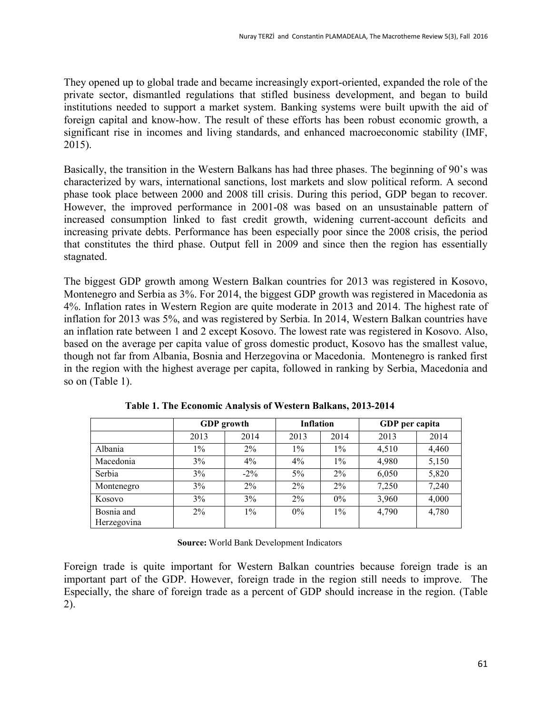They opened up to global trade and became increasingly export-oriented, expanded the role of the private sector, dismantled regulations that stifled business development, and began to build institutions needed to support a market system. Banking systems were built upwith the aid of foreign capital and know-how. The result of these efforts has been robust economic growth, a significant rise in incomes and living standards, and enhanced macroeconomic stability (IMF, 2015).

Basically, the transition in the Western Balkans has had three phases. The beginning of 90's was characterized by wars, international sanctions, lost markets and slow political reform. A second phase took place between 2000 and 2008 till crisis. During this period, GDP began to recover. However, the improved performance in 2001-08 was based on an unsustainable pattern of increased consumption linked to fast credit growth, widening current-account deficits and increasing private debts. Performance has been especially poor since the 2008 crisis, the period that constitutes the third phase. Output fell in 2009 and since then the region has essentially stagnated.

The biggest GDP growth among Western Balkan countries for 2013 was registered in Kosovo, Montenegro and Serbia as 3%. For 2014, the biggest GDP growth was registered in Macedonia as 4%. Inflation rates in Western Region are quite moderate in 2013 and 2014. The highest rate of inflation for 2013 was 5%, and was registered by Serbia. In 2014, Western Balkan countries have an inflation rate between 1 and 2 except Kosovo. The lowest rate was registered in Kosovo. Also, based on the average per capita value of gross domestic product, Kosovo has the smallest value, though not far from Albania, Bosnia and Herzegovina or Macedonia. Montenegro is ranked first in the region with the highest average per capita, followed in ranking by Serbia, Macedonia and so on (Table 1).

|                           | <b>GDP</b> growth |        | <b>Inflation</b> |       | GDP per capita |       |
|---------------------------|-------------------|--------|------------------|-------|----------------|-------|
|                           | 2013              | 2014   | 2013             | 2014  | 2013           | 2014  |
| Albania                   | $1\%$             | $2\%$  | $1\%$            | $1\%$ | 4,510          | 4,460 |
| Macedonia                 | 3%                | $4\%$  | $4\%$            | $1\%$ | 4,980          | 5,150 |
| Serbia                    | 3%                | $-2\%$ | $5\%$            | $2\%$ | 6,050          | 5,820 |
| Montenegro                | 3%                | $2\%$  | $2\%$            | $2\%$ | 7,250          | 7,240 |
| Kosovo                    | 3%                | 3%     | $2\%$            | $0\%$ | 3,960          | 4,000 |
| Bosnia and<br>Herzegovina | $2\%$             | $1\%$  | $0\%$            | $1\%$ | 4,790          | 4,780 |

**Table 1. The Economic Analysis of Western Balkans, 2013-2014**

**Source:** World Bank Development Indicators

Foreign trade is quite important for Western Balkan countries because foreign trade is an important part of the GDP. However, foreign trade in the region still needs to improve. The Especially, the share of foreign trade as a percent of GDP should increase in the region. (Table 2).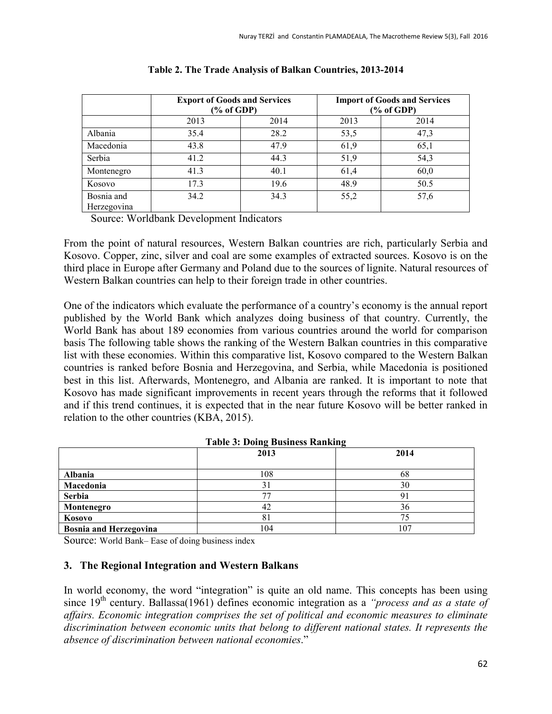|                           | <b>Export of Goods and Services</b><br>% of GDP |      | <b>Import of Goods and Services</b><br>$(\%$ of GDP) |      |  |
|---------------------------|-------------------------------------------------|------|------------------------------------------------------|------|--|
|                           | 2013                                            | 2014 | 2013                                                 | 2014 |  |
| Albania                   | 35.4                                            | 28.2 | 53,5                                                 | 47,3 |  |
| Macedonia                 | 43.8                                            | 47.9 | 61,9                                                 | 65,1 |  |
| Serbia                    | 41.2                                            | 44.3 | 51,9                                                 | 54,3 |  |
| Montenegro                | 41.3                                            | 40.1 | 61,4                                                 | 60,0 |  |
| Kosovo                    | 17.3                                            | 19.6 | 48.9                                                 | 50.5 |  |
| Bosnia and<br>Herzegovina | 34.2                                            | 34.3 | 55,2                                                 | 57,6 |  |

#### **Table 2. The Trade Analysis of Balkan Countries, 2013-2014**

Source: Worldbank Development Indicators

From the point of natural resources, Western Balkan countries are rich, particularly Serbia and Kosovo. Copper, zinc, silver and coal are some examples of extracted sources. Kosovo is on the third place in Europe after Germany and Poland due to the sources of lignite. Natural resources of Western Balkan countries can help to their foreign trade in other countries.

One of the indicators which evaluate the performance of a country's economy is the annual report published by the World Bank which analyzes doing business of that country. Currently, the World Bank has about 189 economies from various countries around the world for comparison basis The following table shows the ranking of the Western Balkan countries in this comparative list with these economies. Within this comparative list, Kosovo compared to the Western Balkan countries is ranked before Bosnia and Herzegovina, and Serbia, while Macedonia is positioned best in this list. Afterwards, Montenegro, and Albania are ranked. It is important to note that Kosovo has made significant improvements in recent years through the reforms that it followed and if this trend continues, it is expected that in the near future Kosovo will be better ranked in relation to the other countries (KBA, 2015).

| Twore of Domy Dublicate Tumming |      |      |  |  |
|---------------------------------|------|------|--|--|
|                                 | 2013 | 2014 |  |  |
| Albania                         | 108  | 68   |  |  |
| Macedonia                       |      | 30   |  |  |
| Serbia                          | 75   |      |  |  |
| Montenegro                      | 42   | 36   |  |  |
| Kosovo                          |      | 75   |  |  |
| <b>Bosnia and Herzegovina</b>   | 104  | 107  |  |  |

#### **Table 3: Doing Business Ranking**

Source: World Bank– Ease of doing business index

#### **3. The Regional Integration and Western Balkans**

In world economy, the word "integration" is quite an old name. This concepts has been using since 19<sup>th</sup> century. Ballassa(1961) defines economic integration as a *"process and as a state of affairs. Economic integration comprises the set of political and economic measures to eliminate discrimination between economic units that belong to different national states. It represents the absence of discrimination between national economies*."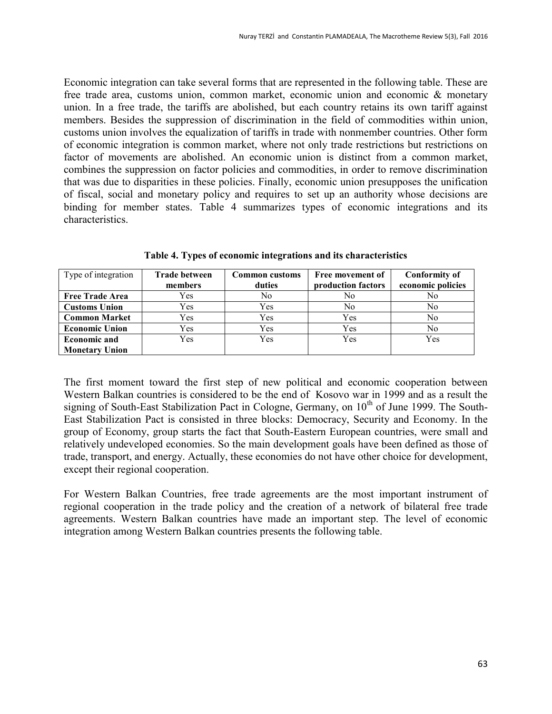Economic integration can take several forms that are represented in the following table. These are free trade area, customs union, common market, economic union and economic & monetary union. In a free trade, the tariffs are abolished, but each country retains its own tariff against members. Besides the suppression of discrimination in the field of commodities within union, customs union involves the equalization of tariffs in trade with nonmember countries. Other form of economic integration is common market, where not only trade restrictions but restrictions on factor of movements are abolished. An economic union is distinct from a common market, combines the suppression on factor policies and commodities, in order to remove discrimination that was due to disparities in these policies. Finally, economic union presupposes the unification of fiscal, social and monetary policy and requires to set up an authority whose decisions are binding for member states. Table 4 summarizes types of economic integrations and its characteristics.

| Type of integration    | <b>Trade between</b> | <b>Common</b> customs | Free movement of   | <b>Conformity of</b> |
|------------------------|----------------------|-----------------------|--------------------|----------------------|
|                        | members              | duties                | production factors | economic policies    |
| <b>Free Trade Area</b> | Yes                  | No                    | No                 | No                   |
| <b>Customs Union</b>   | Yes                  | Yes                   | No                 | No                   |
| <b>Common Market</b>   | Yes                  | Yes                   | Yes                | No                   |
| <b>Economic Union</b>  | Yes                  | Yes                   | Yes                | No                   |
| <b>Economic and</b>    | Yes                  | Yes                   | Yes                | Yes                  |
| <b>Monetary Union</b>  |                      |                       |                    |                      |

**Table 4. Types of economic integrations and its characteristics**

The first moment toward the first step of new political and economic cooperation between Western Balkan countries is considered to be the end of Kosovo war in 1999 and as a result the signing of South-East Stabilization Pact in Cologne, Germany, on 10<sup>th</sup> of June 1999. The South-East Stabilization Pact is consisted in three blocks: Democracy, Security and Economy. In the group of Economy, group starts the fact that South-Eastern European countries, were small and relatively undeveloped economies. So the main development goals have been defined as those of trade, transport, and energy. Actually, these economies do not have other choice for development, except their regional cooperation.

For Western Balkan Countries, free trade agreements are the most important instrument of regional cooperation in the trade policy and the creation of a network of bilateral free trade agreements. Western Balkan countries have made an important step. The level of economic integration among Western Balkan countries presents the following table.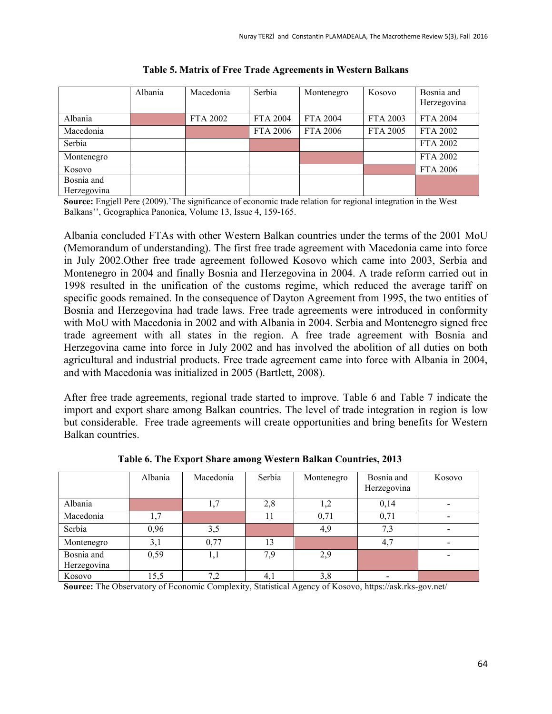|                           | Albania | Macedonia | Serbia          | Montenegro      | Kosovo   | Bosnia and<br>Herzegovina |
|---------------------------|---------|-----------|-----------------|-----------------|----------|---------------------------|
| Albania                   |         | FTA 2002  | <b>FTA 2004</b> | <b>FTA 2004</b> | FTA 2003 | <b>FTA 2004</b>           |
| Macedonia                 |         |           | <b>FTA 2006</b> | <b>FTA 2006</b> | FTA 2005 | FTA 2002                  |
| Serbia                    |         |           |                 |                 |          | FTA 2002                  |
| Montenegro                |         |           |                 |                 |          | FTA 2002                  |
| Kosovo                    |         |           |                 |                 |          | <b>FTA 2006</b>           |
| Bosnia and<br>Herzegovina |         |           |                 |                 |          |                           |

**Table 5. Matrix of Free Trade Agreements in Western Balkans**

**Source:** Engjell Pere (2009).'The significance of economic trade relation for regional integration in the West Balkans'', Geographica Panonica, Volume 13, Issue 4, 159-165.

Albania concluded FTAs with other Western Balkan countries under the terms of the 2001 MoU (Memorandum of understanding). The first free trade agreement with Macedonia came into force in July 2002.Other free trade agreement followed Kosovo which came into 2003, Serbia and Montenegro in 2004 and finally Bosnia and Herzegovina in 2004. A trade reform carried out in 1998 resulted in the unification of the customs regime, which reduced the average tariff on specific goods remained. In the consequence of Dayton Agreement from 1995, the two entities of Bosnia and Herzegovina had trade laws. Free trade agreements were introduced in conformity with MoU with Macedonia in 2002 and with Albania in 2004. Serbia and Montenegro signed free trade agreement with all states in the region. A free trade agreement with Bosnia and Herzegovina came into force in July 2002 and has involved the abolition of all duties on both agricultural and industrial products. Free trade agreement came into force with Albania in 2004, and with Macedonia was initialized in 2005 (Bartlett, 2008).

After free trade agreements, regional trade started to improve. Table 6 and Table 7 indicate the import and export share among Balkan countries. The level of trade integration in region is low but considerable. Free trade agreements will create opportunities and bring benefits for Western Balkan countries.

|                           | Albania | Macedonia | Serbia | Montenegro | Bosnia and<br>Herzegovina | Kosovo                   |
|---------------------------|---------|-----------|--------|------------|---------------------------|--------------------------|
| Albania                   |         | 1,7       | 2,8    | 1,2        | 0,14                      |                          |
| Macedonia                 | 1,7     |           | 11     | 0,71       | 0,71                      |                          |
| Serbia                    | 0,96    | 3,5       |        | 4,9        | 7,3                       | $\overline{\phantom{0}}$ |
| Montenegro                | 3,1     | 0,77      | 13     |            | 4,7                       |                          |
| Bosnia and<br>Herzegovina | 0,59    | 1,1       | 7.9    | 2,9        |                           |                          |
| Kosovo                    | 15,5    | 7,2       | 4,1    | 3,8        |                           |                          |

**Table 6. The Export Share among Western Balkan Countries, 2013**

**Source:** The Observatory of Economic Complexity, Statistical Agency of Kosovo, <https://ask.rks-gov.net/>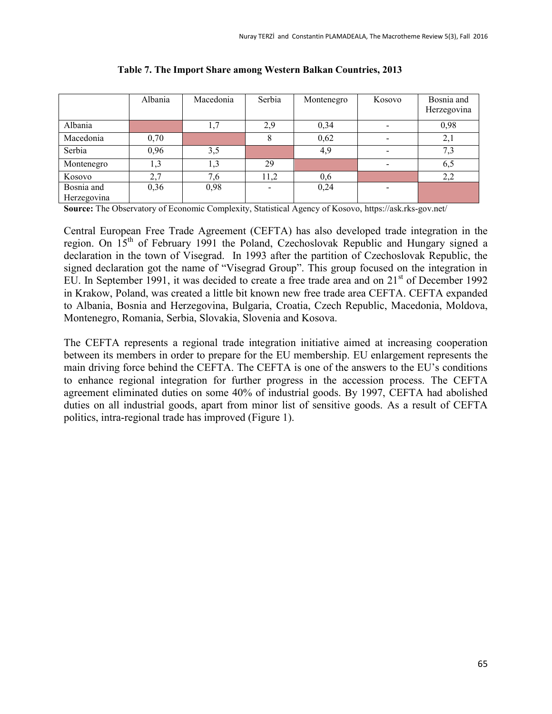|                           | Albania | Macedonia | Serbia | Montenegro | Kosovo                   | Bosnia and<br>Herzegovina |
|---------------------------|---------|-----------|--------|------------|--------------------------|---------------------------|
| Albania                   |         | 1,7       | 2,9    | 0,34       |                          | 0,98                      |
| Macedonia                 | 0,70    |           |        | 0,62       | $\overline{\phantom{a}}$ | 2,1                       |
| Serbia                    | 0,96    | 3,5       |        | 4,9        | $\overline{\phantom{a}}$ | 7,3                       |
| Montenegro                | 1,3     | 1,3       | 29     |            | $\overline{\phantom{0}}$ | 6,5                       |
| Kosovo                    | 2,7     | 7,6       | 11,2   | 0,6        |                          | 2,2                       |
| Bosnia and<br>Herzegovina | 0,36    | 0,98      |        | 0,24       |                          |                           |

**Table 7. The Import Share among Western Balkan Countries, 2013**

**Source:** The Observatory of Economic Complexity, Statistical Agency of Kosovo, https://ask.rks-gov.net/

Central European Free Trade Agreement (CEFTA) has also developed trade integration in the region. On 15th of February 1991 the Poland, Czechoslovak Republic and Hungary signed a declaration in the town of Visegrad. In 1993 after the partition of Czechoslovak Republic, the signed declaration got the name of "Visegrad Group". This group focused on the integration in EU. In September 1991, it was decided to create a free trade area and on 21<sup>st</sup> of December 1992 in Krakow, Poland, was created a little bit known new free trade area CEFTA. CEFTA expanded to Albania, Bosnia and Herzegovina, Bulgaria, Croatia, Czech Republic, Macedonia, Moldova, Montenegro, Romania, Serbia, Slovakia, Slovenia and Kosova.

The CEFTA represents a regional trade integration initiative aimed at increasing cooperation between its members in order to prepare for the EU membership. EU enlargement represents the main driving force behind the CEFTA. The CEFTA is one of the answers to the EU's conditions to enhance regional integration for further progress in the accession process. The CEFTA agreement eliminated duties on some 40% of industrial goods. By 1997, CEFTA had abolished duties on all industrial goods, apart from minor list of sensitive goods. As a result of CEFTA politics, intra-regional trade has improved (Figure 1).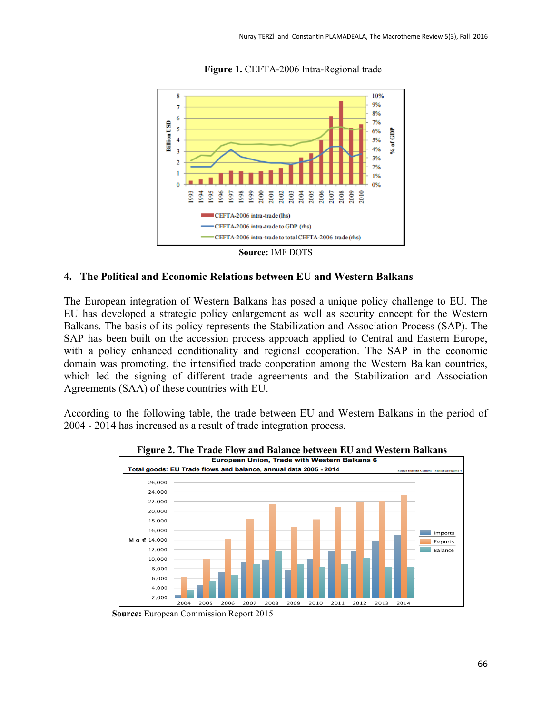

**Figure 1.** CEFTA-2006 Intra-Regional trade



#### **4. The Political and Economic Relations between EU and Western Balkans**

The European integration of Western Balkans has posed a unique policy challenge to EU. The EU has developed a strategic policy enlargement as well as security concept for the Western Balkans. The basis of its policy represents the Stabilization and Association Process (SAP). The SAP has been built on the accession process approach applied to Central and Eastern Europe, with a policy enhanced conditionality and regional cooperation. The SAP in the economic domain was promoting, the intensified trade cooperation among the Western Balkan countries, which led the signing of different trade agreements and the Stabilization and Association Agreements (SAA) of these countries with EU.

According to the following table, the trade between EU and Western Balkans in the period of 2004 - 2014 has increased as a result of trade integration process.



**Figure 2. The Trade Flow and Balance between EU and Western Balkans**

 **Source:** European Commission Report 2015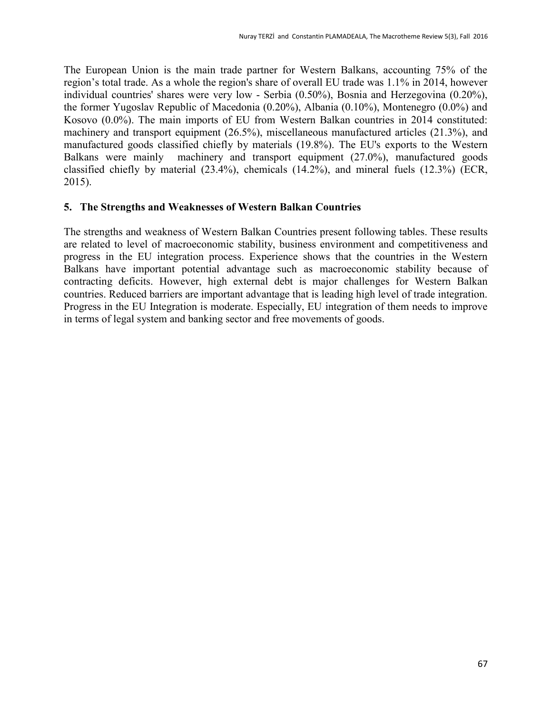The European Union is the main trade partner for Western Balkans, accounting 75% of the region's total trade. As a whole the region's share of overall EU trade was 1.1% in 2014, however individual countries' shares were very low - Serbia (0.50%), Bosnia and Herzegovina (0.20%), the former Yugoslav Republic of Macedonia (0.20%), Albania (0.10%), Montenegro (0.0%) and Kosovo (0.0%). The main imports of EU from Western Balkan countries in 2014 constituted: machinery and transport equipment (26.5%), miscellaneous manufactured articles (21.3%), and manufactured goods classified chiefly by materials (19.8%). The EU's exports to the Western Balkans were mainly machinery and transport equipment (27.0%), manufactured goods classified chiefly by material (23.4%), chemicals (14.2%), and mineral fuels (12.3%) (ECR, 2015).

#### **5. The Strengths and Weaknesses of Western Balkan Countries**

The strengths and weakness of Western Balkan Countries present following tables. These results are related to level of macroeconomic stability, business environment and competitiveness and progress in the EU integration process. Experience shows that the countries in the Western Balkans have important potential advantage such as macroeconomic stability because of contracting deficits. However, high external debt is major challenges for Western Balkan countries. Reduced barriers are important advantage that is leading high level of trade integration. Progress in the EU Integration is moderate. Especially, EU integration of them needs to improve in terms of legal system and banking sector and free movements of goods.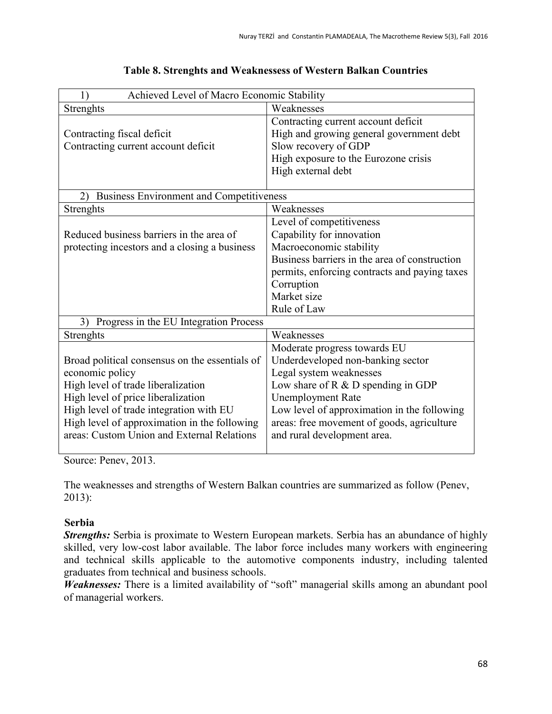| Achieved Level of Macro Economic Stability<br>$1^{\circ}$ |                                               |  |  |
|-----------------------------------------------------------|-----------------------------------------------|--|--|
| Strenghts                                                 | Weaknesses                                    |  |  |
|                                                           | Contracting current account deficit           |  |  |
| Contracting fiscal deficit                                | High and growing general government debt      |  |  |
| Contracting current account deficit                       | Slow recovery of GDP                          |  |  |
|                                                           | High exposure to the Eurozone crisis          |  |  |
|                                                           | High external debt                            |  |  |
|                                                           |                                               |  |  |
| <b>Business Environment and Competitiveness</b><br>2)     |                                               |  |  |
| <b>Strenghts</b>                                          | Weaknesses                                    |  |  |
|                                                           | Level of competitiveness                      |  |  |
| Reduced business barriers in the area of                  | Capability for innovation                     |  |  |
| protecting incestors and a closing a business             | Macroeconomic stability                       |  |  |
|                                                           | Business barriers in the area of construction |  |  |
|                                                           | permits, enforcing contracts and paying taxes |  |  |
|                                                           | Corruption                                    |  |  |
|                                                           | Market size                                   |  |  |
|                                                           | Rule of Law                                   |  |  |
| Progress in the EU Integration Process<br>3)              |                                               |  |  |
| Strenghts                                                 | Weaknesses                                    |  |  |
|                                                           | Moderate progress towards EU                  |  |  |
| Broad political consensus on the essentials of            | Underdeveloped non-banking sector             |  |  |
| economic policy                                           | Legal system weaknesses                       |  |  |
| High level of trade liberalization                        | Low share of $R \& D$ spending in GDP         |  |  |
| High level of price liberalization                        | <b>Unemployment Rate</b>                      |  |  |
| High level of trade integration with EU                   | Low level of approximation in the following   |  |  |
| High level of approximation in the following              | areas: free movement of goods, agriculture    |  |  |
| areas: Custom Union and External Relations                | and rural development area.                   |  |  |
|                                                           |                                               |  |  |

## **Table 8. Strenghts and Weaknessess of Western Balkan Countries**

Source: Penev, 2013.

The weaknesses and strengths of Western Balkan countries are summarized as follow (Penev, 2013):

# **Serbia**

*Strengths:* Serbia is proximate to Western European markets. Serbia has an abundance of highly skilled, very low-cost labor available. The labor force includes many workers with engineering and technical skills applicable to the automotive components industry, including talented graduates from technical and business schools.

*Weaknesses:* There is a limited availability of "soft" managerial skills among an abundant pool of managerial workers.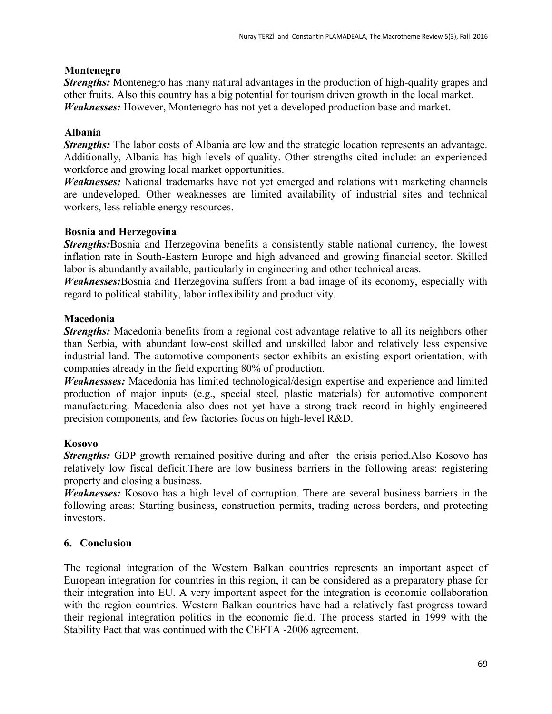### **Montenegro**

*Strengths:* Montenegro has many natural advantages in the production of high-quality grapes and other fruits. Also this country has a big potential for tourism driven growth in the local market. *Weaknesses:* However, Montenegro has not yet a developed production base and market.

# **Albania**

*Strengths:* The labor costs of Albania are low and the strategic location represents an advantage. Additionally, Albania has high levels of quality. Other strengths cited include: an experienced workforce and growing local market opportunities.

*Weaknesses:* National trademarks have not yet emerged and relations with marketing channels are undeveloped. Other weaknesses are limited availability of industrial sites and technical workers, less reliable energy resources.

# **Bosnia and Herzegovina**

*Strengths:*Bosnia and Herzegovina benefits a consistently stable national currency, the lowest inflation rate in South-Eastern Europe and high advanced and growing financial sector. Skilled labor is abundantly available, particularly in engineering and other technical areas.

*Weaknesses:*Bosnia and Herzegovina suffers from a bad image of its economy, especially with regard to political stability, labor inflexibility and productivity.

# **Macedonia**

*Strengths:* Macedonia benefits from a regional cost advantage relative to all its neighbors other than Serbia, with abundant low-cost skilled and unskilled labor and relatively less expensive industrial land. The automotive components sector exhibits an existing export orientation, with companies already in the field exporting 80% of production.

*Weaknessses:* Macedonia has limited technological/design expertise and experience and limited production of major inputs (e.g., special steel, plastic materials) for automotive component manufacturing. Macedonia also does not yet have a strong track record in highly engineered precision components, and few factories focus on high-level R&D.

# **Kosovo**

*Strengths:* GDP growth remained positive during and after the crisis period.Also Kosovo has relatively low fiscal deficit.There are low business barriers in the following areas: registering property and closing a business.

*Weaknesses:* Kosovo has a high level of corruption. There are several business barriers in the following areas: Starting business, construction permits, trading across borders, and protecting investors.

# **6. Conclusion**

The regional integration of the Western Balkan countries represents an important aspect of European integration for countries in this region, it can be considered as a preparatory phase for their integration into EU. A very important aspect for the integration is economic collaboration with the region countries. Western Balkan countries have had a relatively fast progress toward their regional integration politics in the economic field. The process started in 1999 with the Stability Pact that was continued with the CEFTA -2006 agreement.